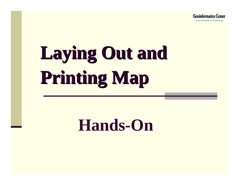**Geoinformatics Center** Asian Institute of Technology

# **Laying Out and Laying Out and Printing Map Printing Map**

### **Hands-On**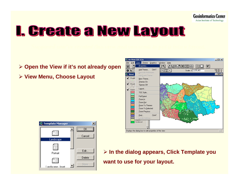

### I. Greate a New Layout

- ¾ **Open the View if it's not already open**
- ¾ **View Menu, Choose Layout**





¾ **In the dialog appears, Click Template you want to use for your layout.**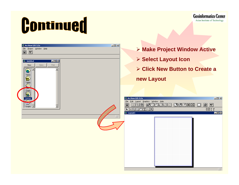

**Geoinformatics Center** Asian Institute of Technology

| $L = 2$<br>ArcView GIS 3.2a<br>Eile Project Window Help<br>$ \mathbf{k} $<br>圓<br>Q Untitled<br>EOX<br>Pand<br>New<br>Open<br>$\bullet$<br>Views<br><b>ED</b> | > Make Project Window Active<br><b>≻ Select Layout Icon</b><br>> Click New Button to Create a<br>new Layout                                                                                                                                                                                   |  |  |
|---------------------------------------------------------------------------------------------------------------------------------------------------------------|-----------------------------------------------------------------------------------------------------------------------------------------------------------------------------------------------------------------------------------------------------------------------------------------------|--|--|
| Tables<br>T<br>Charts<br>.ayouts<br>ey<br>Scripts $\blacksquare$<br>$\blacktriangledown$<br>田                                                                 | ArcView GIS 3.2a<br>$\Box$ D $\Box$<br>Eile Edit Layout Graphics Window Help<br><b>COEO TRE</b><br><b>EBAJOS</b><br>0<br>$\boxed{8}$<br>圓<br>$ \mathbf{B} $<br>  ¥  <br>$\frac{14.94}{10.84}$ in $\pm$<br>$\overline{\text{NPOQCDT} \cdot \text{SO}}$<br>$\Box$ elx<br>Q Layout1<br><b>HH</b> |  |  |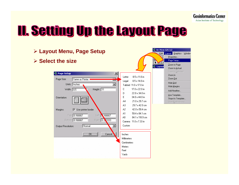

### **II. Setting Up the Layout Page**

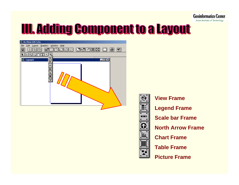

### **TIL Adding Component to a Layout**

| ArcView GIS 3.2a                                                                                                            |
|-----------------------------------------------------------------------------------------------------------------------------|
| Edit Layout Graphics Window Help<br>Eile                                                                                    |
| 2020<br>d<br>$\mathbb{C}$<br>ð<br><u>inja</u><br>e.<br>q,<br>Дý.<br>$\blacktriangleright$<br>圄<br>Ÿ,<br>陶                   |
| <u>ାରାକା</u><br>$\hat{\bullet}$<br>ГJ<br>ℶ                                                                                  |
| $\odot$<br>$\Box$ o $\times$<br>Layout1<br>$\overline{\phantom{a}}$<br>٠<br>$\blacksquare$<br>$\overline{\circ}$<br>ļщ<br>国 |



**View FrameLegend Frame Scale bar FrameNorth Arrow Frame Chart FrameTable Frame**

**Picture Frame**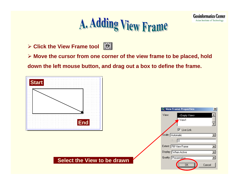

**Geoinformatics Center** 

Asian Institute of Technology

¾ **Click the View Frame tool**



¾ **Move the cursor from one corner of the view frame to be placed, hold down the left mouse button, and drag out a box to define the frame.**

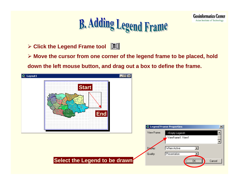

**Geoinformatics Center** 

Asian Institute of Technology

¾ **Click the Legend Frame tool**

¾ **Move the cursor from one corner of the legend frame to be placed, hold** 

**down the left mouse button, and drag out a box to define the frame.**

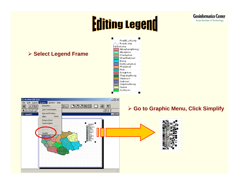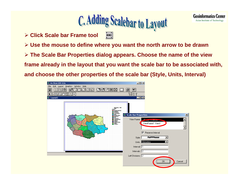

**Geoinformatics Center** Asian Institute of Technology

¾ **Click Scale bar Frame tool** œ

- ¾ **Use the mouse to define where you want the north arrow to be drawn**
- ¾ **The Scale Bar Properties dialog appears. Choose the name of the view**

**frame already in the layout that you want the scale bar to be associated with,** 

**and choose the other properties of the scale bar (Style, Units, Interval)**

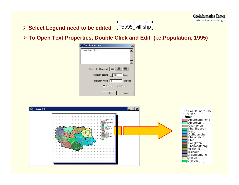#### ¾ **Select Legend need to be edited**

¾ **To Open Text Properties, Double Click and Edit (i.e.Population, 1995)**

 $\blacksquare$ 

| <b>Text Properties</b>                    | ×       |
|-------------------------------------------|---------|
| Population, 1995                          |         |
|                                           |         |
| Vertical Spacing: $\sqrt{\phantom{0}1.0}$ | lines   |
| Rotation Angle: 0                         | degrees |
| Scale Text with View                      |         |
| OΚ                                        | Cancel  |

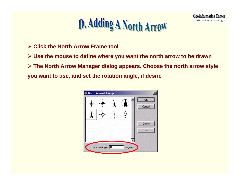### D. Adding A North Arrow

**Geoinformatics Center** 

- ¾ **Click the North Arrow Frame tool**
- ¾ **Use the mouse to define where you want the north arrow to be drawn**
- ¾ **The North Arrow Manager dialog appears. Choose the north arrow style**
- **you want to use, and set the rotation angle, if desire**

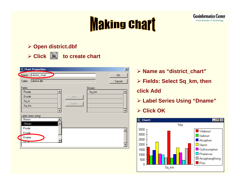### **Making chart**

#### ¾ **Open district.dbf**



**Click to create chart**



- ¾ **Name as "district\_chart"**
- ¾ **Fields: Select Sq\_km, then**

**Geoinformatics Center** 

Asian Institute of Technology

#### **click Add**

¾ **Label Series Using "Dname"**

#### ¾ **Click OK**

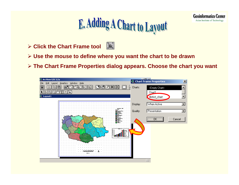

## E. Adding A Chart to Layout

- $|\mathbf{u}|\$ ¾ **Click the Chart Frame tool**
- ¾ **Use the mouse to define where you want the chart to be drawn**
- ¾ **The Chart Frame Properties dialog appears. Choose the chart you want**

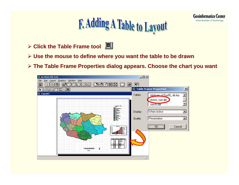

## F. Adding A Table to Layout

- ¾ **Click the Table Frame tool**
- ¾ **Use the mouse to define where you want the table to be drawn**
- ¾ **The Table Frame Properties dialog appears. Choose the chart you want**

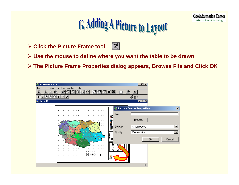

## **G. Adding A Picture to Layout**

- ¾ **Click the Picture Frame tool**
- $\vert \cdot \vert$
- ¾ **Use the mouse to define where you want the table to be drawn**
- ¾ **The Picture Frame Properties dialog appears, Browse File and Click OK**

| ArcView GIS 3.2a                            |                                    | $\Box$ D $\Box$                   |              |
|---------------------------------------------|------------------------------------|-----------------------------------|--------------|
| Layout Graphics Window Help<br>Edit<br>Eile |                                    |                                   |              |
| 圓<br>ļ,<br>ê<br>r                           | 黑险<br>8                            | $\blacktriangleright$             |              |
| $\circ$ ାଠାଙ୍କ<br>ᅴ                         |                                    | $-1.78$ in $+$<br>8.60 in $+$     |              |
| 奧 Layout1                                   |                                    | $  E $ $\times$                   |              |
|                                             |                                    |                                   |              |
|                                             | $\cdot$ .                          | <b>Q</b> Picture Frame Properties | $\mathbf{x}$ |
|                                             | File:<br>. .                       |                                   |              |
|                                             |                                    | Browse                            |              |
|                                             |                                    |                                   |              |
|                                             | <b>中心原理的</b><br>在的复数形式<br>Display: | When Active                       | ▼            |
|                                             | . .<br>Quality:                    | Presentation                      | ▼            |
| B                                           |                                    |                                   |              |
|                                             |                                    | 0K                                | Cancel       |
|                                             | <b>CAN</b><br>₩                    |                                   |              |
|                                             | Ē                                  |                                   |              |
|                                             | нw                                 |                                   |              |
|                                             |                                    |                                   |              |
|                                             | $\mathcal{F}$                      |                                   |              |
|                                             |                                    |                                   |              |
|                                             |                                    | 田                                 |              |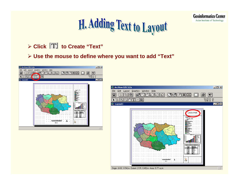**Geoinformatics Center** Asian Institute of Technology

## H. Adding Text to Layout

#### ¾ **Click to Create "Text"**

¾ **Use the mouse to define where you want to add "Text"**



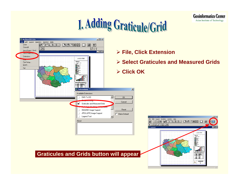### **I. Adding Graticule/Grid**



- ¾ **File, Click Extension**
- ¾ **Select Graticules and Measured Grids**



**Geoinformatics Center**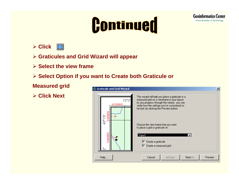## Continued



- ¾ **Graticules and Grid Wizard will appear**
- ¾ **Select the view frame**
- ¾ **Select Option if you want to Create both Graticule or**

**Measured grid**

¾ **Click Next**



**Geoinformatics Center**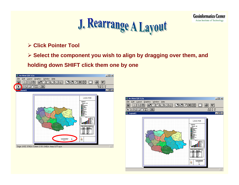

¾ **Click Pointer Tool**

¾ **Select the component you wish to align by dragging over them, and** 

**holding down SHIFT click them one by one**





**Geoinformatics Center**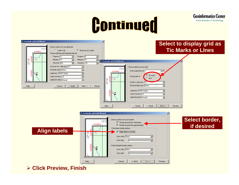## Continued

**Geoinformatics Center** 

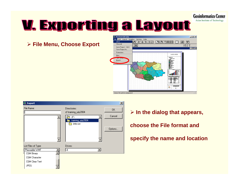**Geoinformatics Center** 

Asian Institute of Technology

### <u>V. Exporting a Layout</u>

¾ **File Menu, Choose Export**





¾ **In the dialog that appears, choose the File format and specify the name and location**